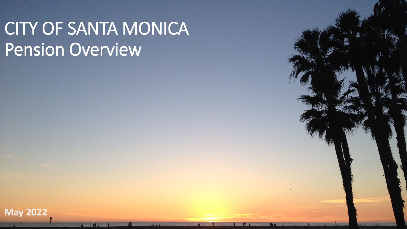# CITY OF SANTA MONICA Pension Overview

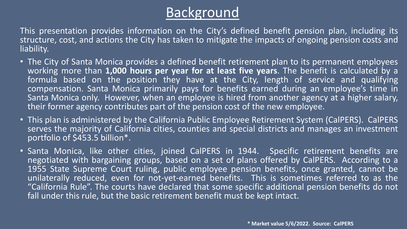## **Background**

This presentation provides information on the City's defined benefit pension plan, including its structure, cost, and actions the City has taken to mitigate the impacts of ongoing pension costs and liability.

- The City of Santa Monica provides a defined benefit retirement plan to its permanent employees working more than **1,000 hours per year for at least five years**. The benefit is calculated by a formula based on the position they have at the City, length of service and qualifying compensation. Santa Monica primarily pays for benefits earned during an employee's time in Santa Monica only. However, when an employee is hired from another agency at a higher salary, their former agency contributes part of the pension cost of the new employee.
- This plan is administered by the California Public Employee Retirement System (CalPERS). CalPERS serves the majority of California cities, counties and special districts and manages an investment portfolio of \$453.5 billion\*.
- Santa Monica, like other cities, joined CalPERS in 1944. Specific retirement benefits are negotiated with bargaining groups, based on a set of plans offered by CalPERS. According to a 1955 State Supreme Court ruling, public employee pension benefits, once granted, cannot be unilaterally reduced, even for not-yet-earned benefits. This is sometimes referred to as the "California Rule". The courts have declared that some specific additional pension benefits do not fall under this rule, but the basic retirement benefit must be kept intact.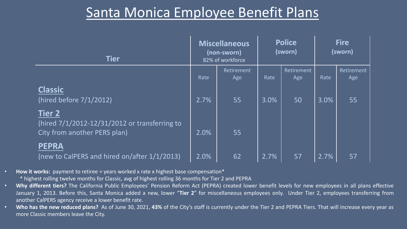### Santa Monica Employee Benefit Plans

| <b>Tier</b>                                                                             |      | <b>Miscellaneous</b><br>(non-sworn)<br>82% of workforce | <b>Police</b><br>(sworn) |                   | <b>Fire</b><br>(sworn) |                   |
|-----------------------------------------------------------------------------------------|------|---------------------------------------------------------|--------------------------|-------------------|------------------------|-------------------|
|                                                                                         | Rate | Retirement<br>Age                                       | Rate                     | Retirement<br>Age | Rate                   | Retirement<br>Age |
| <b>Classic</b><br>(hired before 7/1/2012)                                               | 2.7% | 55                                                      | 3.0%                     | 50                | 3.0%                   | 55                |
| Tier 2<br>(hired 7/1/2012-12/31/2012 or transferring to<br>City from another PERS plan) | 2.0% | 55                                                      |                          |                   |                        |                   |
| <b>PEPRA</b><br>(new to CalPERS and hired on/after 1/1/2013)                            | 2.0% | 62                                                      | 2.7%                     | 57                | 2.7%                   | 57                |

• **How it works:** payment to retiree = years worked x rate x highest base compensation\*

\* highest rolling twelve months for Classic, avg of highest rolling 36 months for Tier 2 and PEPRA

- **Why different tiers?** The California Public Employees' Pension Reform Act (PEPRA) created lower benefit levels for new employees in all plans effective January 1, 2013. Before this, Santa Monica added a new, lower "**Tier 2**" for miscellaneous employees only. Under Tier 2, employees transferring from another CalPERS agency receive a lower benefit rate.
- **Who has the new reduced plans?** As of June 30, 2021, **43%** of the City's staff is currently under the Tier 2 and PEPRA Tiers. That will increase every year as more Classic members leave the City.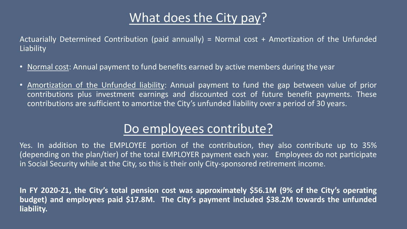### What does the City pay?

Actuarially Determined Contribution (paid annually) = Normal cost + Amortization of the Unfunded Liability

- Normal cost: Annual payment to fund benefits earned by active members during the year
- Amortization of the Unfunded liability: Annual payment to fund the gap between value of prior contributions plus investment earnings and discounted cost of future benefit payments. These contributions are sufficient to amortize the City's unfunded liability over a period of 30 years.

### Do employees contribute?

Yes. In addition to the EMPLOYEE portion of the contribution, they also contribute up to 35% (depending on the plan/tier) of the total EMPLOYER payment each year. Employees do not participate in Social Security while at the City, so this is their only City-sponsored retirement income.

**In FY 2020-21, the City's total pension cost was approximately \$56.1M (9% of the City's operating budget) and employees paid \$17.8M. The City's payment included \$38.2M towards the unfunded liability.**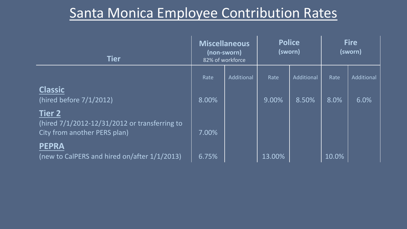# Santa Monica Employee Contribution Rates

| <b>Tier</b>                                                                                    | <b>Miscellaneous</b><br>(non-sworn)<br>82% of workforce |            | <b>Police</b><br>(sworn) |            | <b>Fire</b><br>(sworn) |            |
|------------------------------------------------------------------------------------------------|---------------------------------------------------------|------------|--------------------------|------------|------------------------|------------|
|                                                                                                | Rate                                                    | Additional | Rate                     | Additional | Rate                   | Additional |
| <b>Classic</b><br>(hired before 7/1/2012)                                                      | 8.00%                                                   |            | 9.00%                    | 8.50%      | 8.0%                   | 6.0%       |
| <b>Tier 2</b><br>(hired 7/1/2012-12/31/2012 or transferring to<br>City from another PERS plan) | 7.00%                                                   |            |                          |            |                        |            |
| <b>PEPRA</b><br>(new to CalPERS and hired on/after 1/1/2013)                                   | 6.75%                                                   |            | 13.00%                   |            | 10.0%                  |            |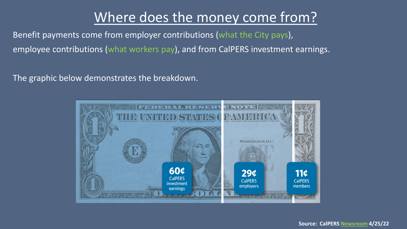## Where does the money come from?

Benefit payments come from employer contributions (what the City pays), employee contributions (what workers pay), and from CalPERS investment earnings.

The graphic below demonstrates the breakdown.

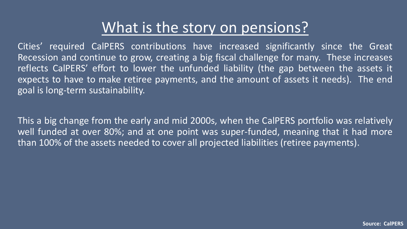# What is the story on pensions?

Cities' required CalPERS contributions have increased significantly since the Great Recession and continue to grow, creating a big fiscal challenge for many. These increases reflects CalPERS' effort to lower the unfunded liability (the gap between the assets it expects to have to make retiree payments, and the amount of assets it needs). The end goal is long-term sustainability.

This a big change from the early and mid 2000s, when the CalPERS portfolio was relatively well funded at over 80%; and at one point was super-funded, meaning that it had more than 100% of the assets needed to cover all projected liabilities (retiree payments).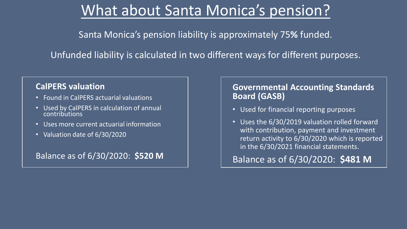# What about Santa Monica's pension?

Santa Monica's pension liability is approximately 75**%** funded.

Unfunded liability is calculated in two different ways for different purposes.

#### **CalPERS valuation**

- Found in CalPERS actuarial valuations
- Used by CalPERS in calculation of annual contributions
- Uses more current actuarial information
- Valuation date of 6/30/2020

Balance as of 6/30/2020: **\$520 M**

#### **Governmental Accounting Standards Board (GASB)**

- Used for financial reporting purposes
- Uses the 6/30/2019 valuation rolled forward with contribution, payment and investment return activity to 6/30/2020 which is reported in the 6/30/2021 financial statements.

Balance as of 6/30/2020: **\$481 M**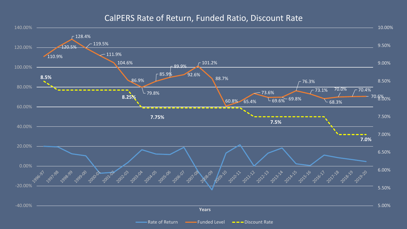#### CalPERS Rate of Return, Funded Ratio, Discount Rate

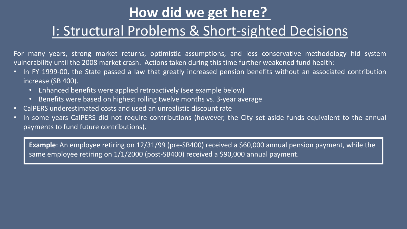## **How did we get here?**

### I: Structural Problems & Short-sighted Decisions

For many years, strong market returns, optimistic assumptions, and less conservative methodology hid system vulnerability until the 2008 market crash. Actions taken during this time further weakened fund health:

- In FY 1999-00, the State passed a law that greatly increased pension benefits without an associated contribution increase (SB 400).
	- Enhanced benefits were applied retroactively (see example below)
	- Benefits were based on highest rolling twelve months vs. 3-year average
- CalPERS underestimated costs and used an unrealistic discount rate
- In some years CalPERS did not require contributions (however, the City set aside funds equivalent to the annual payments to fund future contributions).

**Example**: An employee retiring on 12/31/99 (pre-SB400) received a \$60,000 annual pension payment, while the same employee retiring on 1/1/2000 (post-SB400) received a \$90,000 annual payment.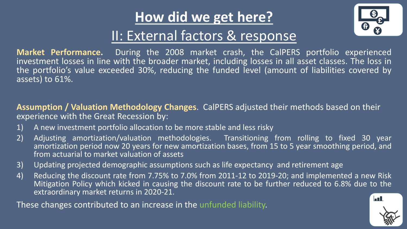# **How did we get here?**



## II: External factors & response

**Market Performance.** During the 2008 market crash, the CalPERS portfolio experienced investment losses in line with the broader market, including losses in all asset classes. The loss in the portfolio's value exceeded 30%, reducing the funded level (amount of liabilities covered by assets) to 61%.

**Assumption / Valuation Methodology Changes**. CalPERS adjusted their methods based on their experience with the Great Recession by:

- 1) A new investment portfolio allocation to be more stable and less risky
- 2) Adjusting amortization/valuation methodologies. Transitioning from rolling to fixed 30 year amortization period now 20 years for new amortization bases, from 15 to 5 year smoothing period, and from actuarial to market valuation of assets
- 3) Updating projected demographic assumptions such as life expectancy and retirement age
- 4) Reducing the discount rate from 7.75% to 7.0% from 2011-12 to 2019-20; and implemented a new Risk Mitigation Policy which kicked in causing the discount rate to be further reduced to 6.8% due to the extraordinary market returns in 2020-21.

These changes contributed to an increase in the unfunded liability.

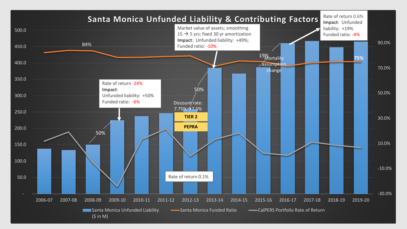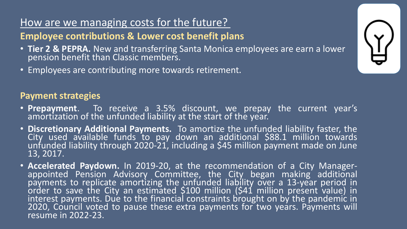### How are we managing costs for the future?

### **Employee contributions & Lower cost benefit plans**

- **Tier 2 & PEPRA.** New and transferring Santa Monica employees are earn a lower pension benefit than Classic members.
- Employees are contributing more towards retirement.

### **Payment strategies**

- **Prepayment**. To receive a 3.5% discount, we prepay the current year's amortization of the unfunded liability at the start of the year.
- **Discretionary Additional Payments.** To amortize the unfunded liability faster, the City used available funds to pay down an additional \$88.1 million towards unfunded liability through 2020-21, including a \$45 million payment made on June 13, 2017.
- **Accelerated Paydown.** In 2019-20, at the recommendation of a City Manager-<br>appointed Pension Advisory Committee, the City began making additional payments to replicate amortizing the unfunded liability over a 13-year period in order to save the City an estimated \$100 million (\$41 million present value) in interest payments. Due to the financial constraints brought on by the pandemic in 2020, Council voted to pause these extra payments for two years. Payments will resume in 2022-23.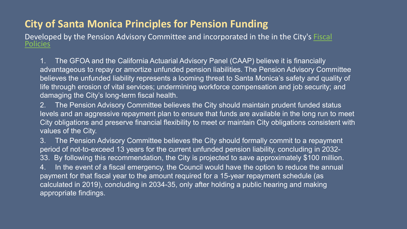### **City of Santa Monica Principles for Pension Funding**

[Developed by the Pension Advisory Committee and incorporated in the in the City's](https://finance.smgov.net/Media/Default/annual-reports/FYE2022/FYE2022-Operating-Budget.pdf) Fiscal Policies

1. The GFOA and the California Actuarial Advisory Panel (CAAP) believe it is financially advantageous to repay or amortize unfunded pension liabilities. The Pension Advisory Committee believes the unfunded liability represents a looming threat to Santa Monica's safety and quality of life through erosion of vital services; undermining workforce compensation and job security; and damaging the City's long-term fiscal health.

2. The Pension Advisory Committee believes the City should maintain prudent funded status levels and an aggressive repayment plan to ensure that funds are available in the long run to meet City obligations and preserve financial flexibility to meet or maintain City obligations consistent with values of the City.

3. The Pension Advisory Committee believes the City should formally commit to a repayment period of not-to-exceed 13 years for the current unfunded pension liability, concluding in 2032- 33. By following this recommendation, the City is projected to save approximately \$100 million. In the event of a fiscal emergency, the Council would have the option to reduce the annual payment for that fiscal year to the amount required for a 15-year repayment schedule (as calculated in 2019), concluding in 2034-35, only after holding a public hearing and making appropriate findings.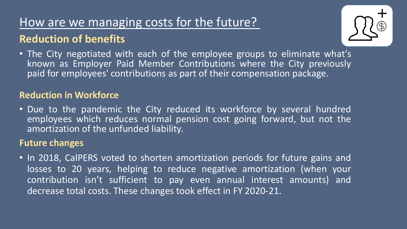### How are we managing costs for the future? **Reduction of benefits**

• The City negotiated with each of the employee groups to eliminate what's known as Employer Paid Member Contributions where the City previously paid for employees' contributions as part of their compensation package.

### **Reduction in Workforce**

• Due to the pandemic the City reduced its workforce by several hundred employees which reduces normal pension cost going forward, but not the amortization of the unfunded liability.

### **Future changes**

• In 2018, CalPERS voted to shorten amortization periods for future gains and losses to 20 years, helping to reduce negative amortization (when your contribution isn't sufficient to pay even annual interest amounts) and decrease total costs. These changes took effect in FY 2020-21.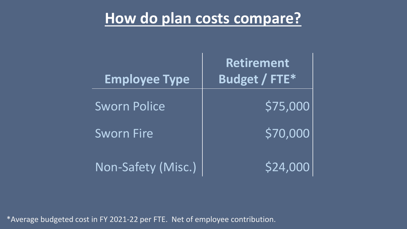# **How do plan costs compare?**

| <b>Employee Type</b> | <b>Retirement</b><br>Budget / FTE* |
|----------------------|------------------------------------|
| <b>Sworn Police</b>  | \$75,000                           |
| <b>Sworn Fire</b>    | \$70,000                           |
| Non-Safety (Misc.)   | \$24,000                           |

\*Average budgeted cost in FY 2021-22 per FTE. Net of employee contribution.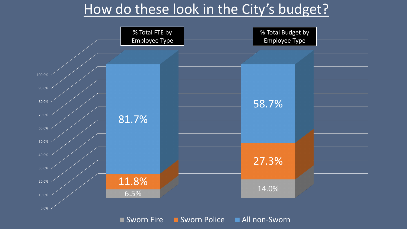### How do these look in the City's budget?



Sworn Fire B Sworn Police All non-Sworn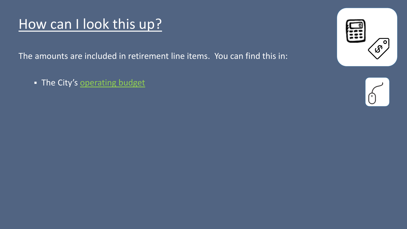# How can I look this up?

The amounts are included in retirement line items. You can find this in:

• The City's [operating](https://finance.smgov.net/Media/Default/annual-reports/FYE2022/FYE2022-Operating-Budget.pdf) budget



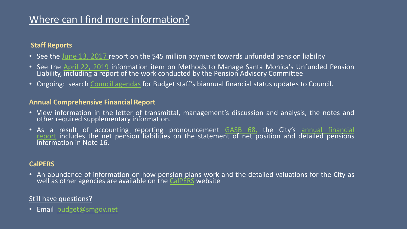### Where can I find more information?

#### **Staff Reports**

- See the June 13, [2017](http://santamonicacityca.iqm2.com/Citizens/Detail_LegiFile.aspx?Frame=&MeetingID=1095&MediaPosition=&ID=2532&CssClass=) report on the \$45 million payment towards unfunded pension liability
- See the April 22, 2019 information item on Methods to Manage Santa Monica's Unfunded Pension Liability, including a report of the work conducted by the Pension Advisory Committee
- Ongoing: search Council [agendas](http://www.smgov.net/departments/clerk/agendas.aspx) for Budget staff's biannual financial status updates to Council.

#### **Annual Comprehensive Financial Report**

- View information in the letter of transmittal, management's discussion and analysis, the notes and other required supplementary information.
- As a result of accounting reporting [pronouncement](https://finance.smgov.net/Media/Default/annual-reports/FYE2021/Annual%20Comprehensive%20Financial%20Report.pdf) **[GASB](https://www.gasb.org/page/ShowDocument?path=GASBS%252068.pdf&acceptedDisclaimer=true&title=GASBS+68&Submit=) 68**, the City's annual financial report includes the net pension liabilities on the statement of net position and detailed pensions<br>information in Note 16.

#### **CalPERS**

• An abundance of information on how pension plans work and the detailed valuations for the City as well as other agencies are available on the [CalPERS](https://www.calpers.ca.gov/page/employers/actuarial-resources/public-agency-actuarial-valuation-reports) website

#### Still have questions?

• Email [budget@smgov.net](mailto:budget@smgov.net)